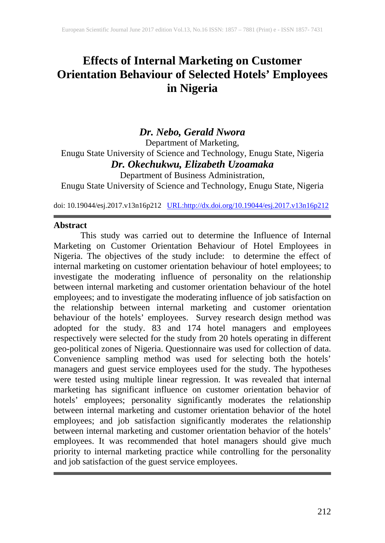# **Effects of Internal Marketing on Customer Orientation Behaviour of Selected Hotels' Employees in Nigeria**

# *Dr. Nebo, Gerald Nwora*

Department of Marketing, Enugu State University of Science and Technology, Enugu State, Nigeria *Dr. Okechukwu, Elizabeth Uzoamaka*

Department of Business Administration,

Enugu State University of Science and Technology, Enugu State, Nigeria

doi: 10.19044/esj.2017.v13n16p212 [URL:http://dx.doi.org/10.19044/esj.2017.v13n16p212](http://dx.doi.org/10.19044/esj.2017.v13n16p212)

#### **Abstract**

This study was carried out to determine the Influence of Internal Marketing on Customer Orientation Behaviour of Hotel Employees in Nigeria. The objectives of the study include: to determine the effect of internal marketing on customer orientation behaviour of hotel employees; to investigate the moderating influence of personality on the relationship between internal marketing and customer orientation behaviour of the hotel employees; and to investigate the moderating influence of job satisfaction on the relationship between internal marketing and customer orientation behaviour of the hotels' employees. Survey research design method was adopted for the study. 83 and 174 hotel managers and employees respectively were selected for the study from 20 hotels operating in different geo-political zones of Nigeria. Questionnaire was used for collection of data. Convenience sampling method was used for selecting both the hotels' managers and guest service employees used for the study. The hypotheses were tested using multiple linear regression. It was revealed that internal marketing has significant influence on customer orientation behavior of hotels' employees; personality significantly moderates the relationship between internal marketing and customer orientation behavior of the hotel employees; and job satisfaction significantly moderates the relationship between internal marketing and customer orientation behavior of the hotels' employees. It was recommended that hotel managers should give much priority to internal marketing practice while controlling for the personality and job satisfaction of the guest service employees.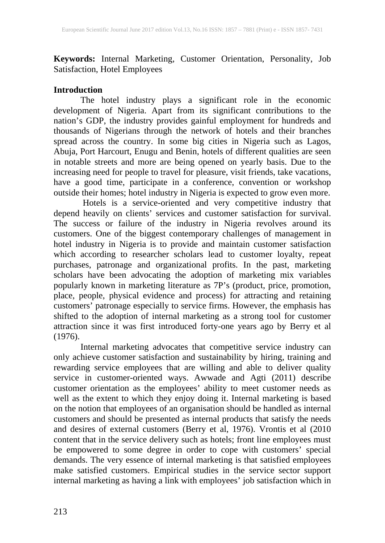**Keywords:** Internal Marketing, Customer Orientation, Personality, Job Satisfaction, Hotel Employees

#### **Introduction**

The hotel industry plays a significant role in the economic development of Nigeria. Apart from its significant contributions to the nation's GDP, the industry provides gainful employment for hundreds and thousands of Nigerians through the network of hotels and their branches spread across the country. In some big cities in Nigeria such as Lagos, Abuja, Port Harcourt, Enugu and Benin, hotels of different qualities are seen in notable streets and more are being opened on yearly basis. Due to the increasing need for people to travel for pleasure, visit friends, take vacations, have a good time, participate in a conference, convention or workshop outside their homes; hotel industry in Nigeria is expected to grow even more.

 Hotels is a service-oriented and very competitive industry that depend heavily on clients' services and customer satisfaction for survival. The success or failure of the industry in Nigeria revolves around its customers. One of the biggest contemporary challenges of management in hotel industry in Nigeria is to provide and maintain customer satisfaction which according to researcher scholars lead to customer loyalty, repeat purchases, patronage and organizational profits. In the past, marketing scholars have been advocating the adoption of marketing mix variables popularly known in marketing literature as 7P's (product, price, promotion, place, people, physical evidence and process) for attracting and retaining customers' patronage especially to service firms. However, the emphasis has shifted to the adoption of internal marketing as a strong tool for customer attraction since it was first introduced forty-one years ago by Berry et al (1976).

 Internal marketing advocates that competitive service industry can only achieve customer satisfaction and sustainability by hiring, training and rewarding service employees that are willing and able to deliver quality service in customer-oriented ways. Awwade and Agti (2011) describe customer orientation as the employees' ability to meet customer needs as well as the extent to which they enjoy doing it. Internal marketing is based on the notion that employees of an organisation should be handled as internal customers and should be presented as internal products that satisfy the needs and desires of external customers (Berry et al, 1976). Vrontis et al (2010 content that in the service delivery such as hotels; front line employees must be empowered to some degree in order to cope with customers' special demands. The very essence of internal marketing is that satisfied employees make satisfied customers. Empirical studies in the service sector support internal marketing as having a link with employees' job satisfaction which in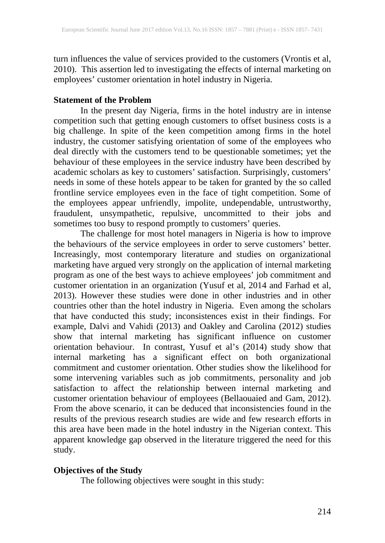turn influences the value of services provided to the customers (Vrontis et al, 2010). This assertion led to investigating the effects of internal marketing on employees' customer orientation in hotel industry in Nigeria.

#### **Statement of the Problem**

In the present day Nigeria, firms in the hotel industry are in intense competition such that getting enough customers to offset business costs is a big challenge. In spite of the keen competition among firms in the hotel industry, the customer satisfying orientation of some of the employees who deal directly with the customers tend to be questionable sometimes; yet the behaviour of these employees in the service industry have been described by academic scholars as key to customers' satisfaction. Surprisingly, customers' needs in some of these hotels appear to be taken for granted by the so called frontline service employees even in the face of tight competition. Some of the employees appear unfriendly, impolite, undependable, untrustworthy, fraudulent, unsympathetic, repulsive, uncommitted to their jobs and sometimes too busy to respond promptly to customers' queries.

The challenge for most hotel managers in Nigeria is how to improve the behaviours of the service employees in order to serve customers' better. Increasingly, most contemporary literature and studies on organizational marketing have argued very strongly on the application of internal marketing program as one of the best ways to achieve employees' job commitment and customer orientation in an organization (Yusuf et al, 2014 and Farhad et al, 2013). However these studies were done in other industries and in other countries other than the hotel industry in Nigeria. Even among the scholars that have conducted this study; inconsistences exist in their findings. For example, Dalvi and Vahidi (2013) and Oakley and Carolina (2012) studies show that internal marketing has significant influence on customer orientation behaviour. In contrast, Yusuf et al's (2014) study show that internal marketing has a significant effect on both organizational commitment and customer orientation. Other studies show the likelihood for some intervening variables such as job commitments, personality and job satisfaction to affect the relationship between internal marketing and customer orientation behaviour of employees (Bellaouaied and Gam, 2012). From the above scenario, it can be deduced that inconsistencies found in the results of the previous research studies are wide and few research efforts in this area have been made in the hotel industry in the Nigerian context. This apparent knowledge gap observed in the literature triggered the need for this study.

#### **Objectives of the Study**

The following objectives were sought in this study: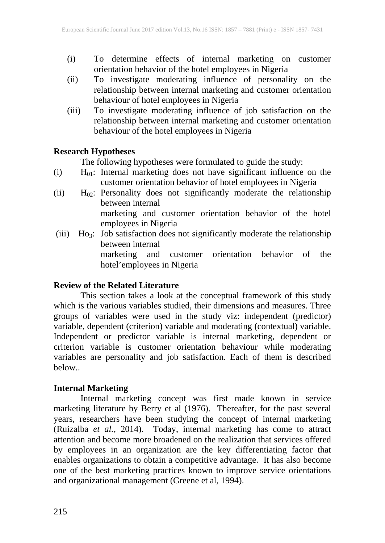- (i) To determine effects of internal marketing on customer orientation behavior of the hotel employees in Nigeria
- (ii) To investigate moderating influence of personality on the relationship between internal marketing and customer orientation behaviour of hotel employees in Nigeria
- (iii) To investigate moderating influence of job satisfaction on the relationship between internal marketing and customer orientation behaviour of the hotel employees in Nigeria

### **Research Hypotheses**

The following hypotheses were formulated to guide the study:

- (i)  $H_{01}$ : Internal marketing does not have significant influence on the customer orientation behavior of hotel employees in Nigeria
- (ii)  $H_{02}$ : Personality does not significantly moderate the relationship between internal marketing and customer orientation behavior of the hotel employees in Nigeria
- (iii) Ho3: Job satisfaction does not significantly moderate the relationship between internal marketing and customer orientation behavior of the hotel'employees in Nigeria

#### **Review of the Related Literature**

This section takes a look at the conceptual framework of this study which is the various variables studied, their dimensions and measures. Three groups of variables were used in the study viz: independent (predictor) variable, dependent (criterion) variable and moderating (contextual) variable. Independent or predictor variable is internal marketing, dependent or criterion variable is customer orientation behaviour while moderating variables are personality and job satisfaction. Each of them is described below..

### **Internal Marketing**

Internal marketing concept was first made known in service marketing literature by Berry et al (1976). Thereafter, for the past several years, researchers have been studying the concept of internal marketing (Ruizalba *et al.,* 2014). Today, internal marketing has come to attract attention and become more broadened on the realization that services offered by employees in an organization are the key differentiating factor that enables organizations to obtain a competitive advantage. It has also become one of the best marketing practices known to improve service orientations and organizational management (Greene et al, 1994).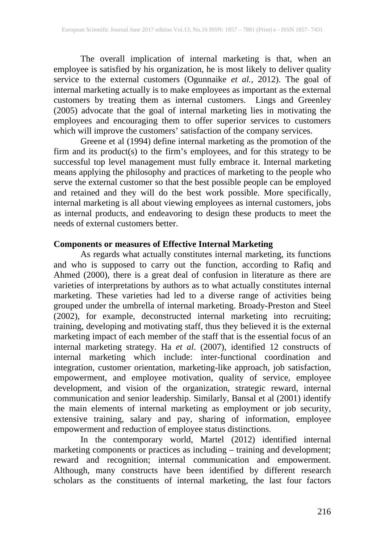The overall implication of internal marketing is that, when an employee is satisfied by his organization, he is most likely to deliver quality service to the external customers (Ogunnaike *et al.,* 2012). The goal of internal marketing actually is to make employees as important as the external customers by treating them as internal customers. Lings and Greenley (2005) advocate that the goal of internal marketing lies in motivating the employees and encouraging them to offer superior services to customers which will improve the customers' satisfaction of the company services.

Greene et al (1994) define internal marketing as the promotion of the firm and its product(s) to the firm's employees, and for this strategy to be successful top level management must fully embrace it. Internal marketing means applying the philosophy and practices of marketing to the people who serve the external customer so that the best possible people can be employed and retained and they will do the best work possible. More specifically, internal marketing is all about viewing employees as internal customers, jobs as internal products, and endeavoring to design these products to meet the needs of external customers better.

#### **Components or measures of Effective Internal Marketing**

As regards what actually constitutes internal marketing, its functions and who is supposed to carry out the function, according to Rafiq and Ahmed (2000), there is a great deal of confusion in literature as there are varieties of interpretations by authors as to what actually constitutes internal marketing. These varieties had led to a diverse range of activities being grouped under the umbrella of internal marketing. Broady-Preston and Steel (2002), for example, deconstructed internal marketing into recruiting; training, developing and motivating staff, thus they believed it is the external marketing impact of each member of the staff that is the essential focus of an internal marketing strategy. Ha *et al*. (2007), identified 12 constructs of internal marketing which include: inter-functional coordination and integration, customer orientation, marketing-like approach, job satisfaction, empowerment, and employee motivation, quality of service, employee development, and vision of the organization, strategic reward, internal communication and senior leadership. Similarly, Bansal et al (2001) identify the main elements of internal marketing as employment or job security, extensive training, salary and pay, sharing of information, employee empowerment and reduction of employee status distinctions.

In the contemporary world, Martel (2012) identified internal marketing components or practices as including – training and development; reward and recognition; internal communication and empowerment. Although, many constructs have been identified by different research scholars as the constituents of internal marketing, the last four factors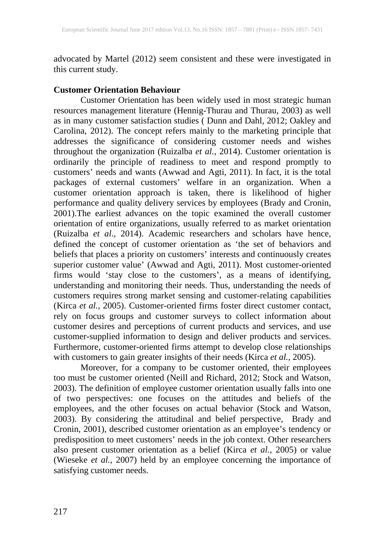advocated by Martel (2012) seem consistent and these were investigated in this current study.

#### **Customer Orientation Behaviour**

Customer Orientation has been widely used in most strategic human resources management literature (Hennig-Thurau and Thurau, 2003) as well as in many customer satisfaction studies ( Dunn and Dahl, 2012; Oakley and Carolina, 2012). The concept refers mainly to the marketing principle that addresses the significance of considering customer needs and wishes throughout the organization (Ruizalba *et al.,* 2014). Customer orientation is ordinarily the principle of readiness to meet and respond promptly to customers' needs and wants (Awwad and Agti, 2011). In fact, it is the total packages of external customers' welfare in an organization. When a customer orientation approach is taken, there is likelihood of higher performance and quality delivery services by employees (Brady and Cronin, 2001).The earliest advances on the topic examined the overall customer orientation of entire organizations, usually referred to as market orientation (Ruizalba *et al*., 2014). Academic researchers and scholars have hence, defined the concept of customer orientation as 'the set of behaviors and beliefs that places a priority on customers' interests and continuously creates superior customer value' (Awwad and Agti, 2011). Most customer-oriented firms would 'stay close to the customers', as a means of identifying, understanding and monitoring their needs. Thus, understanding the needs of customers requires strong market sensing and customer-relating capabilities (Kirca *et al.,* 2005). Customer-oriented firms foster direct customer contact, rely on focus groups and customer surveys to collect information about customer desires and perceptions of current products and services, and use customer-supplied information to design and deliver products and services. Furthermore, customer-oriented firms attempt to develop close relationships with customers to gain greater insights of their needs (Kirca *et al.,* 2005).

Moreover, for a company to be customer oriented, their employees too must be customer oriented (Neill and Richard, 2012; Stock and Watson, 2003). The definition of employee customer orientation usually falls into one of two perspectives: one focuses on the attitudes and beliefs of the employees, and the other focuses on actual behavior (Stock and Watson, 2003). By considering the attitudinal and belief perspective, Brady and Cronin, 2001), described customer orientation as an employee's tendency or predisposition to meet customers' needs in the job context. Other researchers also present customer orientation as a belief (Kirca *et al.,* 2005) or value (Wieseke *et al.,* 2007) held by an employee concerning the importance of satisfying customer needs.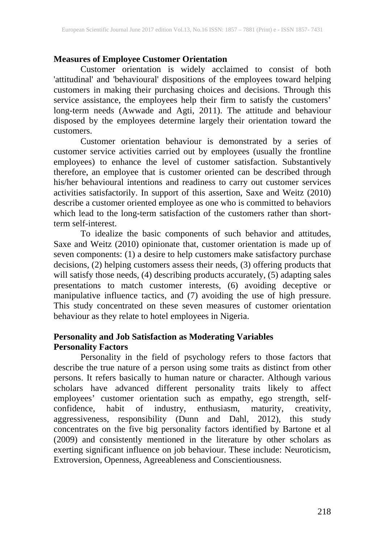#### **Measures of Employee Customer Orientation**

Customer orientation is widely acclaimed to consist of both 'attitudinal' and 'behavioural' dispositions of the employees toward helping customers in making their purchasing choices and decisions. Through this service assistance, the employees help their firm to satisfy the customers' long-term needs (Awwade and Agti, 2011). The attitude and behaviour disposed by the employees determine largely their orientation toward the customers.

Customer orientation behaviour is demonstrated by a series of customer service activities carried out by employees (usually the frontline employees) to enhance the level of customer satisfaction. Substantively therefore, an employee that is customer oriented can be described through his/her behavioural intentions and readiness to carry out customer services activities satisfactorily. In support of this assertion, Saxe and Weitz (2010) describe a customer oriented employee as one who is committed to behaviors which lead to the long-term satisfaction of the customers rather than shortterm self-interest.

To idealize the basic components of such behavior and attitudes, Saxe and Weitz (2010) opinionate that, customer orientation is made up of seven components: (1) a desire to help customers make satisfactory purchase decisions, (2) helping customers assess their needs, (3) offering products that will satisfy those needs, (4) describing products accurately, (5) adapting sales presentations to match customer interests, (6) avoiding deceptive or manipulative influence tactics, and (7) avoiding the use of high pressure. This study concentrated on these seven measures of customer orientation behaviour as they relate to hotel employees in Nigeria.

#### **Personality and Job Satisfaction as Moderating Variables Personality Factors**

Personality in the field of psychology refers to those factors that describe the true nature of a person using some traits as distinct from other persons. It refers basically to human nature or character. Although various scholars have advanced different personality traits likely to affect employees' customer orientation such as empathy, ego strength, selfconfidence, habit of industry, enthusiasm, maturity, creativity, aggressiveness, responsibility (Dunn and Dahl, 2012), this study concentrates on the five big personality factors identified by Bartone et al (2009) and consistently mentioned in the literature by other scholars as exerting significant influence on job behaviour. These include: Neuroticism, Extroversion, Openness, Agreeableness and Conscientiousness.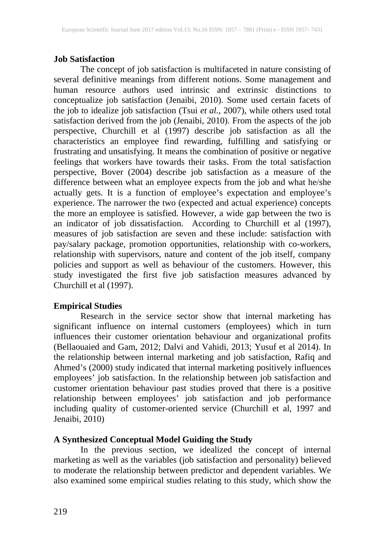#### **Job Satisfaction**

The concept of job satisfaction is multifaceted in nature consisting of several definitive meanings from different notions. Some management and human resource authors used intrinsic and extrinsic distinctions to conceptualize job satisfaction (Jenaibi, 2010). Some used certain facets of the job to idealize job satisfaction (Tsui *et al.,* 2007), while others used total satisfaction derived from the job (Jenaibi, 2010). From the aspects of the job perspective, Churchill et al (1997) describe job satisfaction as all the characteristics an employee find rewarding, fulfilling and satisfying or frustrating and unsatisfying. It means the combination of positive or negative feelings that workers have towards their tasks. From the total satisfaction perspective, Bover (2004) describe job satisfaction as a measure of the difference between what an employee expects from the job and what he/she actually gets. It is a function of employee's expectation and employee's experience. The narrower the two (expected and actual experience) concepts the more an employee is satisfied. However, a wide gap between the two is an indicator of job dissatisfaction. According to Churchill et al (1997), measures of job satisfaction are seven and these include: satisfaction with pay/salary package, promotion opportunities, relationship with co-workers, relationship with supervisors, nature and content of the job itself, company policies and support as well as behaviour of the customers. However, this study investigated the first five job satisfaction measures advanced by Churchill et al (1997).

#### **Empirical Studies**

Research in the service sector show that internal marketing has significant influence on internal customers (employees) which in turn influences their customer orientation behaviour and organizational profits (Bellaouaied and Gam, 2012; Dalvi and Vahidi, 2013; Yusuf et al 2014). In the relationship between internal marketing and job satisfaction, Rafiq and Ahmed's (2000) study indicated that internal marketing positively influences employees' job satisfaction. In the relationship between job satisfaction and customer orientation behaviour past studies proved that there is a positive relationship between employees' job satisfaction and job performance including quality of customer-oriented service (Churchill et al, 1997 and Jenaibi, 2010)

#### **A Synthesized Conceptual Model Guiding the Study**

In the previous section, we idealized the concept of internal marketing as well as the variables (job satisfaction and personality) believed to moderate the relationship between predictor and dependent variables. We also examined some empirical studies relating to this study, which show the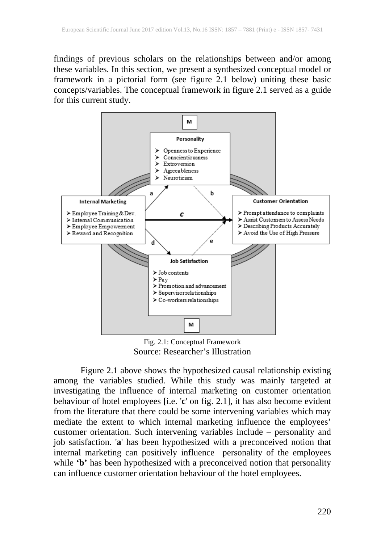findings of previous scholars on the relationships between and/or among these variables. In this section, we present a synthesized conceptual model or framework in a pictorial form (see figure 2.1 below) uniting these basic concepts/variables. The conceptual framework in figure 2.1 served as a guide for this current study.



Fig. 2.1: Conceptual Framework Source: Researcher's Illustration

Figure 2.1 above shows the hypothesized causal relationship existing among the variables studied. While this study was mainly targeted at investigating the influence of internal marketing on customer orientation behaviour of hotel employees [i.e. '**c**' on fig. 2.1], it has also become evident from the literature that there could be some intervening variables which may mediate the extent to which internal marketing influence the employees' customer orientation. Such intervening variables include – personality and job satisfaction. '**a**' has been hypothesized with a preconceived notion that internal marketing can positively influence personality of the employees while 'b' has been hypothesized with a preconceived notion that personality can influence customer orientation behaviour of the hotel employees.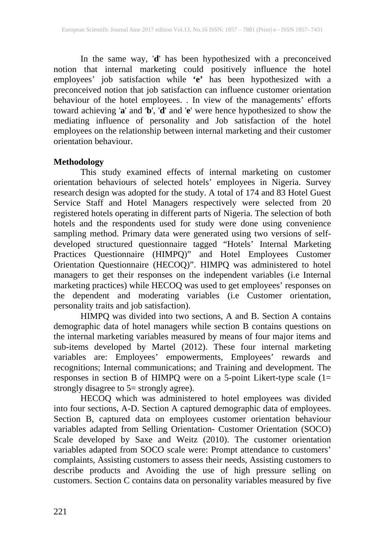In the same way, '**d**' has been hypothesized with a preconceived notion that internal marketing could positively influence the hotel employees' job satisfaction while **'e'** has been hypothesized with a preconceived notion that job satisfaction can influence customer orientation behaviour of the hotel employees. . In view of the managements' efforts toward achieving '**a**' and '**b**', '**d**' and '**e**' were hence hypothesized to show the mediating influence of personality and Job satisfaction of the hotel employees on the relationship between internal marketing and their customer orientation behaviour.

#### **Methodology**

This study examined effects of internal marketing on customer orientation behaviours of selected hotels' employees in Nigeria. Survey research design was adopted for the study. A total of 174 and 83 Hotel Guest Service Staff and Hotel Managers respectively were selected from 20 registered hotels operating in different parts of Nigeria. The selection of both hotels and the respondents used for study were done using convenience sampling method. Primary data were generated using two versions of selfdeveloped structured questionnaire tagged "Hotels' Internal Marketing Practices Questionnaire (HIMPQ)" and Hotel Employees Customer Orientation Questionnaire (HECOQ)". HIMPQ was administered to hotel managers to get their responses on the independent variables (i.e Internal marketing practices) while HECOQ was used to get employees' responses on the dependent and moderating variables (i.e Customer orientation, personality traits and job satisfaction).

HIMPQ was divided into two sections, A and B. Section A contains demographic data of hotel managers while section B contains questions on the internal marketing variables measured by means of four major items and sub-items developed by Martel (2012). These four internal marketing variables are: Employees' empowerments, Employees' rewards and recognitions; Internal communications; and Training and development. The responses in section B of HIMPQ were on a 5-point Likert-type scale (1= strongly disagree to 5= strongly agree).

HECOQ which was administered to hotel employees was divided into four sections, A-D. Section A captured demographic data of employees. Section B, captured data on employees customer orientation behaviour variables adapted from Selling Orientation- Customer Orientation (SOCO) Scale developed by Saxe and Weitz (2010). The customer orientation variables adapted from SOCO scale were: Prompt attendance to customers' complaints, Assisting customers to assess their needs, Assisting customers to describe products and Avoiding the use of high pressure selling on customers. Section C contains data on personality variables measured by five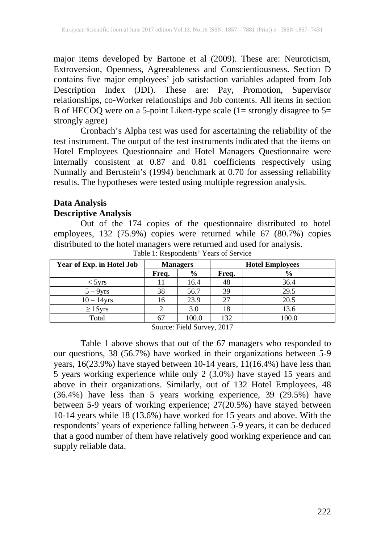major items developed by Bartone et al (2009). These are: Neuroticism, Extroversion, Openness, Agreeableness and Conscientiousness. Section D contains five major employees' job satisfaction variables adapted from Job Description Index (JDI). These are: Pay, Promotion, Supervisor relationships, co-Worker relationships and Job contents. All items in section B of HECOQ were on a 5-point Likert-type scale (1= strongly disagree to 5= strongly agree)

Cronbach's Alpha test was used for ascertaining the reliability of the test instrument. The output of the test instruments indicated that the items on Hotel Employees Questionnaire and Hotel Managers Questionnaire were internally consistent at 0.87 and 0.81 coefficients respectively using Nunnally and Berustein's (1994) benchmark at 0.70 for assessing reliability results. The hypotheses were tested using multiple regression analysis.

## **Data Analysis**

#### **Descriptive Analysis**

Out of the 174 copies of the questionnaire distributed to hotel employees, 132 (75.9%) copies were returned while 67 (80.7%) copies distributed to the hotel managers were returned and used for analysis.

|       |               |       | <b>Hotel Employees</b> |
|-------|---------------|-------|------------------------|
| Freq. | $\frac{0}{0}$ | Freq. | $\frac{0}{0}$          |
|       | 16.4          | 48    | 36.4                   |
| 38    | 56.7          | 39    | 29.5                   |
| 16    | 23.9          | 27    | 20.5                   |
|       | 3.0           | 18    | 13.6                   |
| 67    | 100.0         | 132   | 100.0                  |
|       | $\sim$        |       | ----<br>$- - -$        |

Table 1: Respondents' Years of Service

Source: Field Survey, 2017

Table 1 above shows that out of the 67 managers who responded to our questions, 38 (56.7%) have worked in their organizations between 5-9 years, 16(23.9%) have stayed between 10-14 years, 11(16.4%) have less than 5 years working experience while only 2 (3.0%) have stayed 15 years and above in their organizations. Similarly, out of 132 Hotel Employees, 48 (36.4%) have less than 5 years working experience, 39 (29.5%) have between 5-9 years of working experience; 27(20.5%) have stayed between 10-14 years while 18 (13.6%) have worked for 15 years and above. With the respondents' years of experience falling between 5-9 years, it can be deduced that a good number of them have relatively good working experience and can supply reliable data.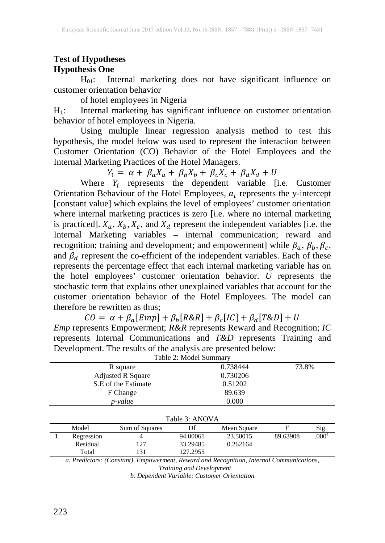#### **Test of Hypotheses Hypothesis One**

H01: Internal marketing does not have significant influence on customer orientation behavior

of hotel employees in Nigeria

 $H_1$ : Internal marketing has significant influence on customer orientation behavior of hotel employees in Nigeria.

Using multiple linear regression analysis method to test this hypothesis, the model below was used to represent the interaction between Customer Orientation (CO) Behavior of the Hotel Employees and the Internal Marketing Practices of the Hotel Managers.

 $Y_1 = \alpha + \beta_a X_a + \beta_b X_b + \beta_c X_c + \beta_d X_d + U$ 

Where  $Y_i$  represents the dependent variable [i.e. Customer Orientation Behaviour of the Hotel Employees,  $a_i$  represents the y-intercept [constant value] which explains the level of employees' customer orientation where internal marketing practices is zero [i.e. where no internal marketing is practiced].  $X_a$ ,  $X_b$ ,  $X_c$ , and  $X_d$  represent the independent variables [i.e. the Internal Marketing variables – internal communication; reward and recognition; training and development; and empowerment] while  $\beta_a$ ,  $\beta_b$ ,  $\beta_c$ , and  $\beta_d$  represent the co-efficient of the independent variables. Each of these represents the percentage effect that each internal marketing variable has on the hotel employees' customer orientation behavior. *U* represents the stochastic term that explains other unexplained variables that account for the customer orientation behavior of the Hotel Employees. The model can therefore be rewritten as thus;

 $CO = \alpha + \beta_a [Emp] + \beta_b [R\&R] + \beta_c [IC] + \beta_d [T\&D] + U$ 

*Emp* represents Empowerment; *R&R* represents Reward and Recognition; *IC* represents Internal Communications and *T&D* represents Training and Development. The results of the analysis are presented below:

| Table 2: Model Summary |                          |                |             |          |                   |  |  |  |  |
|------------------------|--------------------------|----------------|-------------|----------|-------------------|--|--|--|--|
|                        | R square                 |                | 0.738444    | 73.8%    |                   |  |  |  |  |
|                        | <b>Adjusted R Square</b> |                | 0.730206    |          |                   |  |  |  |  |
|                        | S.E of the Estimate      |                | 0.51202     |          |                   |  |  |  |  |
|                        | F Change                 |                | 89.639      |          |                   |  |  |  |  |
|                        | p-value                  |                | 0.000       |          |                   |  |  |  |  |
|                        |                          |                |             |          |                   |  |  |  |  |
|                        |                          | Table 3: ANOVA |             |          |                   |  |  |  |  |
| Model                  | Sum of Squares           | Df             | Mean Square | F        | Sig.              |  |  |  |  |
| Regression             | 4                        | 94.00061       | 23.50015    | 89.63908 | .000 <sup>a</sup> |  |  |  |  |
| Residual               | 127                      | 33.29485       | 0.262164    |          |                   |  |  |  |  |
| Total                  | 131                      | 127.2955       |             |          |                   |  |  |  |  |

*a. Predictors: (Constant), Empowerment, Reward and Recognition, Internal Communications, Training and Development*

*b. Dependent Variable: Customer Orientation*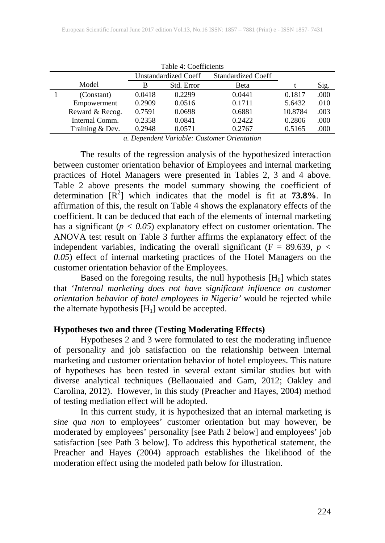| Table 4: Coefficients |        |                             |                    |         |      |  |  |  |  |
|-----------------------|--------|-----------------------------|--------------------|---------|------|--|--|--|--|
|                       |        | <b>Unstandardized Coeff</b> | Standardized Coeff |         |      |  |  |  |  |
| Model                 | B      | Std. Error                  | Beta               |         | Sig. |  |  |  |  |
| (Constant)            | 0.0418 | 0.2299                      | 0.0441             | 0.1817  | .000 |  |  |  |  |
| Empowerment           | 0.2909 | 0.0516                      | 0.1711             | 5.6432  | .010 |  |  |  |  |
| Reward & Recog.       | 0.7591 | 0.0698                      | 0.6881             | 10.8784 | .003 |  |  |  |  |
| Internal Comm.        | 0.2358 | 0.0841                      | 0.2422             | 0.2806  | .000 |  |  |  |  |
| Training & Dev.       | 0.2948 | 0.0571                      | 0.2767             | 0.5165  | .000 |  |  |  |  |

*a. Dependent Variable: Customer Orientation*

The results of the regression analysis of the hypothesized interaction between customer orientation behavior of Employees and internal marketing practices of Hotel Managers were presented in Tables 2, 3 and 4 above. Table 2 above presents the model summary showing the coefficient of determination  $[R^2]$  which indicates that the model is fit at **73.8%**. In affirmation of this, the result on Table 4 shows the explanatory effects of the coefficient. It can be deduced that each of the elements of internal marketing has a significant (*p < 0.05*) explanatory effect on customer orientation. The ANOVA test result on Table 3 further affirms the explanatory effect of the independent variables, indicating the overall significant  $(F = 89.639, p <$ *0.05*) effect of internal marketing practices of the Hotel Managers on the customer orientation behavior of the Employees.

Based on the foregoing results, the null hypothesis  $[H_0]$  which states that '*Internal marketing does not have significant influence on customer orientation behavior of hotel employees in Nigeria'* would be rejected while the alternate hypothesis  $[H_1]$  would be accepted.

#### **Hypotheses two and three (Testing Moderating Effects)**

Hypotheses 2 and 3 were formulated to test the moderating influence of personality and job satisfaction on the relationship between internal marketing and customer orientation behavior of hotel employees. This nature of hypotheses has been tested in several extant similar studies but with diverse analytical techniques (Bellaouaied and Gam, 2012; Oakley and Carolina, 2012). However, in this study (Preacher and Hayes, 2004) method of testing mediation effect will be adopted.

In this current study, it is hypothesized that an internal marketing is *sine qua non* to employees' customer orientation but may however, be moderated by employees' personality [see Path 2 below] and employees' job satisfaction [see Path 3 below]. To address this hypothetical statement, the Preacher and Hayes (2004) approach establishes the likelihood of the moderation effect using the modeled path below for illustration.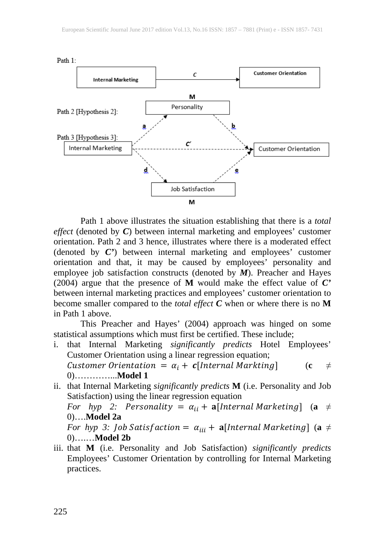

Path 1 above illustrates the situation establishing that there is a *total effect* (denoted by *C*) between internal marketing and employees' customer orientation. Path 2 and 3 hence, illustrates where there is a moderated effect (denoted by *C'*) between internal marketing and employees' customer orientation and that, it may be caused by employees' personality and employee job satisfaction constructs (denoted by *M*). Preacher and Hayes (2004) argue that the presence of **M** would make the effect value of *C'* between internal marketing practices and employees' customer orientation to become smaller compared to the *total effect C* when or where there is no **M** in Path 1 above.

This Preacher and Hayes' (2004) approach was hinged on some statistical assumptions which must first be certified. These include;

- i. that Internal Marketing *significantly predicts* Hotel Employees' Customer Orientation using a linear regression equation; Customer Orientation =  $\alpha_i$  + c[Internal Markting] (c  $\neq$ 0)…………...**Model 1**
- ii. that Internal Marketing *significantly predicts* **M** (i.e. Personality and Job Satisfaction) using the linear regression equation *For hyp 2: Personality* =  $\alpha_{ii}$  + **a**[*Internal Marketing*] (**a**  $\neq$ 0)….**Model 2a** *For hyp 3: Job Satisfaction* =  $\alpha_{iii}$  + **a**[Internal Marketing] (a  $\neq$ 0)….…**Model 2b**
- iii. that **M** (i.e. Personality and Job Satisfaction) *significantly predicts* Employees' Customer Orientation by controlling for Internal Marketing practices.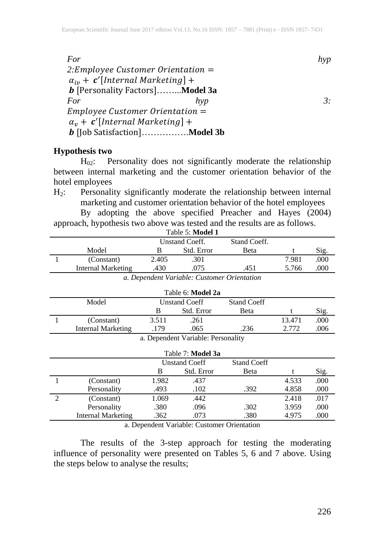*For hyp*  2: *Employee Customer Orientation* =  $\alpha_{iv}$  +  $\,c'$ [Internal Marketing] + [Personality Factors]……...**Model 3a** *For hyp 3:*  $Employee$  Customer Orientation  $=$  $\alpha_v$  + **c'**[Internal Marketing] + [Job Satisfaction]…………….**Model 3b**

#### **Hypothesis two**

H<sub>02</sub>: Personality does not significantly moderate the relationship between internal marketing and the customer orientation behavior of the hotel employees

H2: Personality significantly moderate the relationship between internal marketing and customer orientation behavior of the hotel employees

By adopting the above specified Preacher and Hayes (2004) approach, hypothesis two above was tested and the results are as follows.

|                    |                       | Table 5: Model 1                                                                           |              |       |      |
|--------------------|-----------------------|--------------------------------------------------------------------------------------------|--------------|-------|------|
|                    | <b>Unstand Coeff.</b> |                                                                                            | Stand Coeff. |       |      |
| Model              |                       | Std. Error                                                                                 | Beta         |       | Sig. |
| (Constant)         | 2.405                 | .301                                                                                       |              | 7.981 | .000 |
| Internal Marketing | .430                  | .075                                                                                       | .451         | 5.766 | .000 |
| n.                 |                       | $\mathbf{1}$ $\mathbf{1}$ $\mathbf{1}$ $\mathbf{1}$ $\mathbf{1}$ $\mathbf{1}$ $\mathbf{1}$ |              |       |      |

| a. Dependent Variable: Customer Orientation |  |  |  |
|---------------------------------------------|--|--|--|
|---------------------------------------------|--|--|--|

|                    |       | Table 6: Model 2a                 |                    |        |      |
|--------------------|-------|-----------------------------------|--------------------|--------|------|
| Model              |       | <b>Unstand Coeff</b>              | <b>Stand Coeff</b> |        |      |
|                    | В     | Std. Error                        | <b>Beta</b>        |        | Sig. |
| (Constant)         | 3.511 | .261                              |                    | 13.471 | .000 |
| Internal Marketing | .179  | .065                              | .236               | 2.772  | .006 |
|                    |       | a Denendent Variable: Personality |                    |        |      |

| a. Dependent Variable: Personality |  |  |
|------------------------------------|--|--|
|------------------------------------|--|--|

|                           |       | Table 7: Model 3a    |                    |       |      |
|---------------------------|-------|----------------------|--------------------|-------|------|
|                           |       | <b>Unstand Coeff</b> | <b>Stand Coeff</b> |       |      |
|                           | B     | Std. Error           | Beta               |       | Sig. |
| (Constant)                | 1.982 | .437                 |                    | 4.533 | .000 |
| Personality               | .493  | .102                 | .392               | 4.858 | .000 |
| (Constant)                | 1.069 | .442                 |                    | 2.418 | .017 |
| Personality               | .380  | .096                 | .302               | 3.959 | .000 |
| <b>Internal Marketing</b> | .362  | .073                 | .380               | 4.975 | .000 |

a. Dependent Variable: Customer Orientation

The results of the 3-step approach for testing the moderating influence of personality were presented on Tables 5, 6 and 7 above. Using the steps below to analyse the results;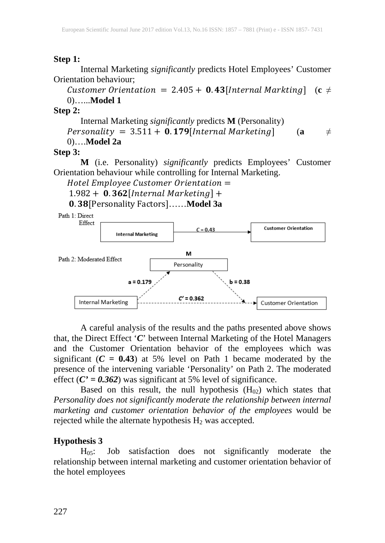#### **Step 1:**

Internal Marketing *significantly* predicts Hotel Employees' Customer Orientation behaviour;

Customer Orientation =  $2.405 + 0.43$  [Internal Markting] (c  $\neq$ 0)…...**Model 1**

**Step 2:**

Internal Marketing *significantly* predicts **M** (Personality)  $Personality = 3.511 + 0.179[Internal \text{ \textit{Marketing}}]$  (a  $\neq$ 0)….**Model 2a**

#### **Step 3:**

**M** (i.e. Personality) *significantly* predicts Employees' Customer Orientation behaviour while controlling for Internal Marketing.

 $H$ otel Employee Customer Orientation =

 $1.982 + 0.362$  [Internal Marketing] +

. [Personality Factors]……**Model 3a**



A careful analysis of the results and the paths presented above shows that, the Direct Effect '*C*' between Internal Marketing of the Hotel Managers and the Customer Orientation behavior of the employees which was significant  $(C = 0.43)$  at 5% level on Path 1 became moderated by the presence of the intervening variable 'Personality' on Path 2. The moderated effect  $(C' = 0.362)$  was significant at 5% level of significance.

Based on this result, the null hypothesis  $(H<sub>02</sub>)$  which states that *Personality does not significantly moderate the relationship between internal marketing and customer orientation behavior of the employees* would be rejected while the alternate hypothesis  $H_2$  was accepted.

#### **Hypothesis 3**

H05: Job satisfaction does not significantly moderate the relationship between internal marketing and customer orientation behavior of the hotel employees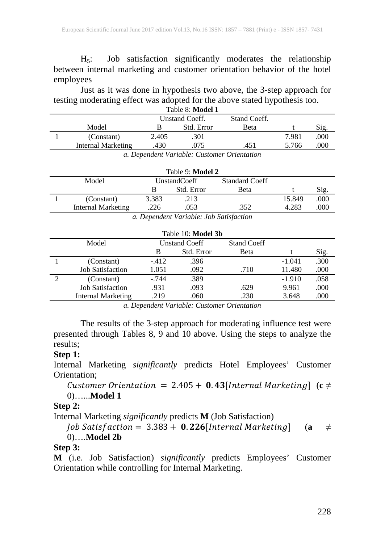H5: Job satisfaction significantly moderates the relationship between internal marketing and customer orientation behavior of the hotel employees

Just as it was done in hypothesis two above, the 3-step approach for testing moderating effect was adopted for the above stated hypothesis too.

| Table 8: Model 1   |                       |            |              |       |      |  |
|--------------------|-----------------------|------------|--------------|-------|------|--|
|                    | <b>Unstand Coeff.</b> |            | Stand Coeff. |       |      |  |
| Model              |                       | Std. Error | Beta         |       | Sig. |  |
| (Constant)         | 2.405                 | .301       |              | 7.981 | .000 |  |
| Internal Marketing | .430                  | .075       | .451         | 5.766 | 000  |  |
|                    |                       |            |              |       |      |  |

| a. Dependent Variable: Customer Orientation |  |  |
|---------------------------------------------|--|--|
|                                             |  |  |

| Table 9: Model 2          |              |                                                                                                                                                                                                                                                                                                                                    |                       |        |      |  |  |  |  |
|---------------------------|--------------|------------------------------------------------------------------------------------------------------------------------------------------------------------------------------------------------------------------------------------------------------------------------------------------------------------------------------------|-----------------------|--------|------|--|--|--|--|
| Model                     | UnstandCoeff |                                                                                                                                                                                                                                                                                                                                    | <b>Standard Coeff</b> |        |      |  |  |  |  |
|                           |              | Std. Error                                                                                                                                                                                                                                                                                                                         | <b>Beta</b>           |        | S1g. |  |  |  |  |
| (Constant)                | 3.383        | .213                                                                                                                                                                                                                                                                                                                               |                       | 15.849 | .000 |  |  |  |  |
| <b>Internal Marketing</b> | .226         | .053                                                                                                                                                                                                                                                                                                                               | .352                  | 4.283  | 000  |  |  |  |  |
|                           |              | $\overline{D}$ and $\overline{D}$ and $\overline{D}$ and $\overline{D}$ and $\overline{D}$ and $\overline{D}$ and $\overline{D}$ and $\overline{D}$ and $\overline{D}$ and $\overline{D}$ and $\overline{D}$ and $\overline{D}$ and $\overline{D}$ and $\overline{D}$ and $\overline{D}$ and $\overline{D}$ and $\overline{D}$ and |                       |        |      |  |  |  |  |

*a. Dependent Variable: Job Satisfaction*

| Table 10: Model 3b      |                      |            |                    |          |      |  |  |  |
|-------------------------|----------------------|------------|--------------------|----------|------|--|--|--|
| Model                   | <b>Unstand Coeff</b> |            | <b>Stand Coeff</b> |          |      |  |  |  |
|                         | В                    | Std. Error | <b>B</b> eta       |          | Sig. |  |  |  |
| (Constant)              | $-412$               | .396       |                    | $-1.041$ | .300 |  |  |  |
| <b>Job Satisfaction</b> | 1.051                | .092       | .710               | 11.480   | .000 |  |  |  |
| (Constant)              | $-.744$              | .389       |                    | $-1.910$ | .058 |  |  |  |
| <b>Job Satisfaction</b> | .931                 | .093       | .629               | 9.961    | .000 |  |  |  |
| Internal Marketing      | .219                 | .060       | .230               | 3.648    | .000 |  |  |  |

*a. Dependent Variable: Customer Orientation*

The results of the 3-step approach for moderating influence test were presented through Tables 8, 9 and 10 above. Using the steps to analyze the results;

#### **Step 1:**

Internal Marketing *significantly* predicts Hotel Employees' Customer Orientation;

Customer Orientation =  $2.405 + 0.43$  [Internal Marketing] (c  $\neq$ 0)…...**Model 1**

### **Step 2:**

Internal Marketing *significantly* predicts **M** (Job Satisfaction)

 $\int$  [ ob Satisfaction = 3.383 + **0.226** [Internal Marketing] (a  $\neq$ 0)….**Model 2b**

### **Step 3:**

**M** (i.e. Job Satisfaction) *significantly* predicts Employees' Customer Orientation while controlling for Internal Marketing.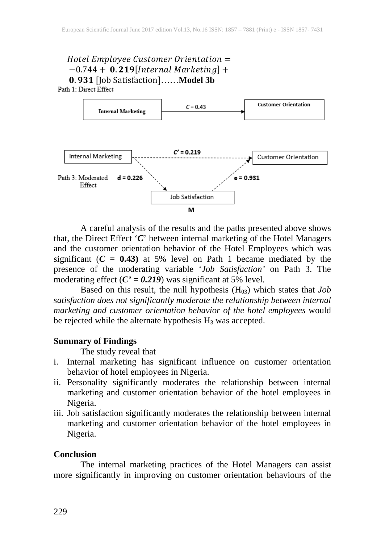# $H$ otel Employee Customer Orientation =  $-0.744 + 0.219$ [Internal Marketing] + 0.931 [Job Satisfaction]……**Model 3b**<br>Path 1: Direct Effect



A careful analysis of the results and the paths presented above shows that, the Direct Effect '*C*' between internal marketing of the Hotel Managers and the customer orientation behavior of the Hotel Employees which was significant  $(C = 0.43)$  at 5% level on Path 1 became mediated by the presence of the moderating variable '*Job Satisfaction'* on Path 3. The moderating effect  $(C' = 0.219)$  was significant at 5% level.

Based on this result, the null hypothesis (H03) which states that *Job satisfaction does not significantly moderate the relationship between internal marketing and customer orientation behavior of the hotel employees* would be rejected while the alternate hypothesis  $H_3$  was accepted.

#### **Summary of Findings**

The study reveal that

- i. Internal marketing has significant influence on customer orientation behavior of hotel employees in Nigeria.
- ii. Personality significantly moderates the relationship between internal marketing and customer orientation behavior of the hotel employees in Nigeria.
- iii. Job satisfaction significantly moderates the relationship between internal marketing and customer orientation behavior of the hotel employees in Nigeria.

#### **Conclusion**

The internal marketing practices of the Hotel Managers can assist more significantly in improving on customer orientation behaviours of the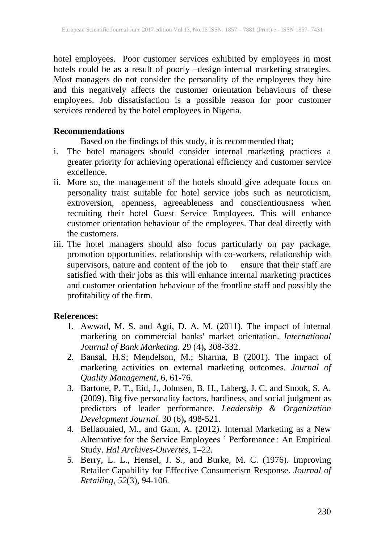hotel employees. Poor customer services exhibited by employees in most hotels could be as a result of poorly –design internal marketing strategies. Most managers do not consider the personality of the employees they hire and this negatively affects the customer orientation behaviours of these employees. Job dissatisfaction is a possible reason for poor customer services rendered by the hotel employees in Nigeria.

#### **Recommendations**

Based on the findings of this study, it is recommended that;

- i. The hotel managers should consider internal marketing practices a greater priority for achieving operational efficiency and customer service excellence.
- ii. More so, the management of the hotels should give adequate focus on personality traist suitable for hotel service jobs such as neuroticism, extroversion, openness, agreeableness and conscientiousness when recruiting their hotel Guest Service Employees. This will enhance customer orientation behaviour of the employees. That deal directly with the customers.
- iii. The hotel managers should also focus particularly on pay package, promotion opportunities, relationship with co-workers, relationship with supervisors, nature and content of the job to ensure that their staff are satisfied with their jobs as this will enhance internal marketing practices and customer orientation behaviour of the frontline staff and possibly the profitability of the firm.

#### **References:**

- 1. Awwad, M. S. and Agti, D. A. M. (2011). The impact of internal marketing on commercial banks' market orientation. *International Journal of Bank Marketing*. 29 (4)**,** 308-332.
- 2. Bansal, H.S; Mendelson, M.; Sharma, B (2001). The impact of marketing activities on external marketing outcomes. *Journal of Quality Management*, 6, 61-76.
- 3. Bartone, P. T., Eid, J., Johnsen, B. H., Laberg, J. C. and Snook, S. A. (2009). Big five personality factors, hardiness, and social judgment as predictors of leader performance. *Leadership & Organization Development Journal*. 30 (6)**,** 498-521.
- 4. Bellaouaied, M., and Gam, A. (2012). Internal Marketing as a New Alternative for the Service Employees ' Performance : An Empirical Study. *Hal Archives-Ouvertes*, 1–22.
- 5. Berry, L. L., Hensel, J. S., and Burke, M. C. (1976). Improving Retailer Capability for Effective Consumerism Response. *Journal of Retailing, 52*(3), 94-106.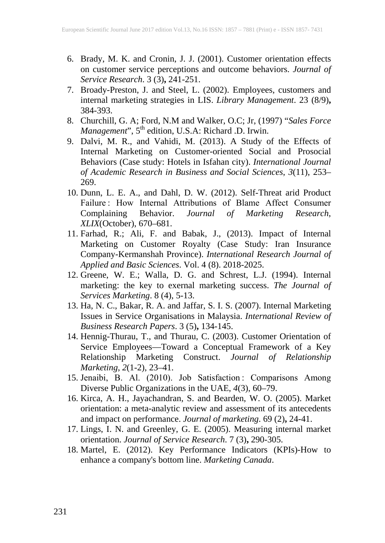- 6. Brady, M. K. and Cronin, J. J. (2001). Customer orientation effects on customer service perceptions and outcome behaviors. *Journal of Service Research*. 3 (3)**,** 241-251.
- 7. Broady-Preston, J. and Steel, L. (2002). Employees, customers and internal marketing strategies in LIS. *Library Management*. 23 (8/9)**,** 384-393.
- 8. Churchill, G. A; Ford, N.M and Walker, O.C; Jr, (1997) "*Sales Force Management*", 5<sup>th</sup> edition, U.S.A: Richard .D. Irwin.
- 9. Dalvi, M. R., and Vahidi, M. (2013). A Study of the Effects of Internal Marketing on Customer-oriented Social and Prosocial Behaviors (Case study: Hotels in Isfahan city). *International Journal of Academic Research in Business and Social Sciences*, *3*(11), 253– 269.
- 10. Dunn, L. E. A., and Dahl, D. W. (2012). Self-Threat arid Product Failure : How Internal Attributions of Blame Affect Consumer Complaining Behavior. *Journal of Marketing Research*, *XLIX*(October), 670–681.
- 11. Farhad, R.; Ali, F. and Babak, J., (2013). Impact of Internal Marketing on Customer Royalty (Case Study: Iran Insurance Company-Kermanshah Province). *International Research Journal of Applied and Basic Sciences*. Vol. 4 (8). 2018-2025.
- 12. Greene, W. E.; Walla, D. G. and Schrest, L.J. (1994). Internal marketing: the key to exernal marketing success. *The Journal of Services Marketing*. 8 (4), 5-13.
- 13. Ha, N. C., Bakar, R. A. and Jaffar, S. I. S. (2007). Internal Marketing Issues in Service Organisations in Malaysia. *International Review of Business Research Papers*. 3 (5)**,** 134-145.
- 14. Hennig-Thurau, T., and Thurau, C. (2003). Customer Orientation of Service Employees—Toward a Conceptual Framework of a Key Relationship Marketing Construct. *Journal of Relationship Marketing*, *2*(1-2), 23–41.
- 15. Jenaibi, B. Al. (2010). Job Satisfaction : Comparisons Among Diverse Public Organizations in the UAE, *4*(3), 60–79.
- 16. Kirca, A. H., Jayachandran, S. and Bearden, W. O. (2005). Market orientation: a meta-analytic review and assessment of its antecedents and impact on performance. *Journal of marketing*. 69 (2)**,** 24-41.
- 17. Lings, I. N. and Greenley, G. E. (2005). Measuring internal market orientation. *Journal of Service Research*. 7 (3)**,** 290-305.
- 18. Martel, E. (2012). Key Performance Indicators (KPIs)-How to enhance a company's bottom line. *Marketing Canada*.